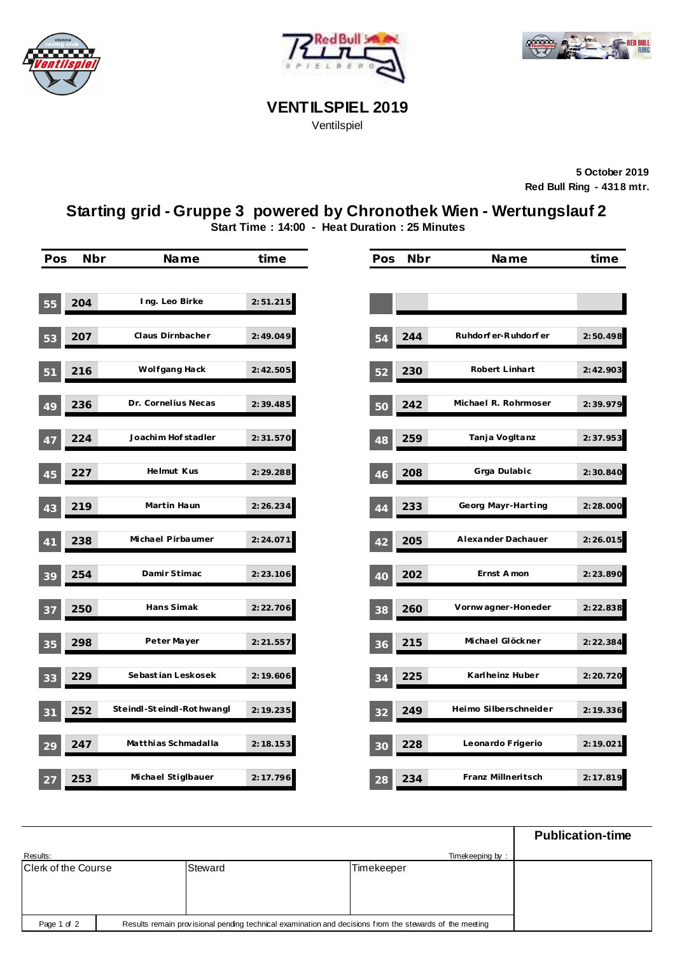





## **VENTILSPIEL 2019**

Ventilspiel

**5 October 2019 Red Bull Ring - 4318 mtr.**

## **Starting grid - Gruppe 3 powered by Chronothek Wien - Wertungslauf 2**

**Start Time : 14:00 - Heat Duration : 25 Minutes**

| Pos | Nbr | Name                      | time      | Pos | Nbr | Name                  | time      |
|-----|-----|---------------------------|-----------|-----|-----|-----------------------|-----------|
|     |     |                           |           |     |     |                       |           |
| 55  | 204 | Ing. Leo Birke            | 2:51.215  |     |     |                       |           |
| 53  | 207 | Claus Dirnbacher          | 2:49.049  | 54  | 244 | Ruhdorf er-Ruhdorf er | 2:50.498  |
| 51  | 216 | Wolfgang Hack             | 2:42.505  | 52  | 230 | Robert Linhart        | 2:42.903  |
| 49  | 236 | Dr. Cornelius Necas       | 2:39.485  | 50  | 242 | Michael R. Rohrmoser  | 2:39.979  |
| 47  | 224 | Joachim Hof stadler       | 2:31.570  | 48  | 259 | Tanja Vogltanz        | 2:37.953  |
| 45  | 227 | Helmut Kus                | 2:29.288  | 46  | 208 | Grga Dulabic          | 2:30.840  |
| 43  | 219 | Martin Haun               | 2:26.234  | 44  | 233 | Georg Mayr-Harting    | 2:28.000  |
| 41  | 238 | Michael Pirbaumer         | 2:24.071  | 42  | 205 | Alexander Dachauer    | 2:26.015  |
| 39  | 254 | Damir Stimac              | 2:23.106  | 40  | 202 | Ernst Amon            | 2:23.890  |
| 37  | 250 | Hans Simak                | 2:22.706  | 38  | 260 | Vornwagner-Honeder    | 2:22.838  |
| 35  | 298 | Peter Mayer               | 2: 21.557 | 36  | 215 | Michael Glöckner      | 2: 22.384 |
| 33  | 229 | Sebast ian Leskosek       | 2:19.606  | 34  | 225 | Karlheinz Huber       | 2:20.720  |
| 31  | 252 | Steindl-Steindl-Rothwangl | 2: 19.235 | 32  | 249 | Heimo Silberschneider | 2:19.336  |
| 29  | 247 | Matthias Schmadalla       | 2:18.153  | 30  | 228 | Leonardo Frigerio     | 2:19.021  |
| 27  | 253 | Michael Stiglbauer        | 2: 17.796 | 28  | 234 | Franz Millneritsch    | 2:17.819  |

|                                                                                                                        |  |         |  |            |  | <b>Publication-time</b> |
|------------------------------------------------------------------------------------------------------------------------|--|---------|--|------------|--|-------------------------|
| Results:<br>Timekeeping by:                                                                                            |  |         |  |            |  |                         |
| Clerk of the Course                                                                                                    |  | Steward |  | Timekeeper |  |                         |
|                                                                                                                        |  |         |  |            |  |                         |
|                                                                                                                        |  |         |  |            |  |                         |
|                                                                                                                        |  |         |  |            |  |                         |
| Results remain provisional pending technical examination and decisions from the stewards of the meeting<br>Page 1 of 2 |  |         |  |            |  |                         |